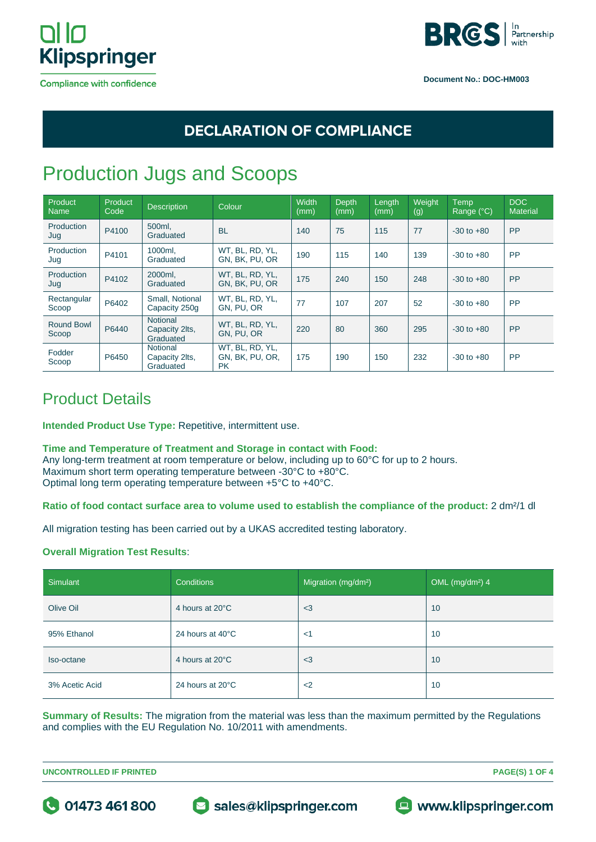



### **DECLARATION OF COMPLIANCE**

# Production Jugs and Scoops

| Product<br><b>Name</b> | Product<br>Code | <b>Description</b>                             | Colour                                          | <b>Width</b><br>(mm) | Depth<br>(mm) | Length<br>(mm) | Weight<br>(g) | Temp<br>Range (°C) | DOC<br><b>Material</b> |
|------------------------|-----------------|------------------------------------------------|-------------------------------------------------|----------------------|---------------|----------------|---------------|--------------------|------------------------|
| Production<br>Jug      | P4100           | 500ml.<br>Graduated                            | <b>BL</b>                                       | 140                  | 75            | 115            | 77            | $-30$ to $+80$     | <b>PP</b>              |
| Production<br>Jug      | P4101           | 1000ml.<br>Graduated                           | WT, BL, RD, YL,<br>GN. BK. PU. OR               | 190                  | 115           | 140            | 139           | $-30$ to $+80$     | <b>PP</b>              |
| Production<br>Jug      | P4102           | 2000ml.<br>Graduated                           | WT, BL, RD, YL,<br>GN. BK. PU. OR               | 175                  | 240           | 150            | 248           | $-30$ to $+80$     | <b>PP</b>              |
| Rectangular<br>Scoop   | P6402           | Small, Notional<br>Capacity 250g               | WT. BL. RD. YL.<br>GN. PU. OR                   | 77                   | 107           | 207            | 52            | $-30$ to $+80$     | <b>PP</b>              |
| Round Bowl<br>Scoop    | P6440           | <b>Notional</b><br>Capacity 2lts,<br>Graduated | WT, BL, RD, YL,<br>GN. PU. OR                   | 220                  | 80            | 360            | 295           | $-30$ to $+80$     | <b>PP</b>              |
| Fodder<br>Scoop        | P6450           | Notional<br>Capacity 2lts,<br>Graduated        | WT, BL, RD, YL,<br>GN, BK, PU, OR,<br><b>PK</b> | 175                  | 190           | 150            | 232           | $-30$ to $+80$     | <b>PP</b>              |

### Product Details

**Intended Product Use Type:** Repetitive, intermittent use.

#### **Time and Temperature of Treatment and Storage in contact with Food:**

Any long-term treatment at room temperature or below, including up to 60°C for up to 2 hours. Maximum short term operating temperature between -30°C to +80°C. Optimal long term operating temperature between +5°C to +40°C.

### **Ratio of food contact surface area to volume used to establish the compliance of the product:** 2 dm²/1 dl

All migration testing has been carried out by a UKAS accredited testing laboratory.

### **Overall Migration Test Results**:

| Simulant       | <b>Conditions</b> | Migration (mg/dm <sup>2</sup> ) | OML (mg/dm <sup>2</sup> ) 4 |
|----------------|-------------------|---------------------------------|-----------------------------|
| Olive Oil      | 4 hours at 20°C   | $3$                             | 10                          |
| 95% Ethanol    | 24 hours at 40°C  | $<$ 1                           | 10                          |
| Iso-octane     | 4 hours at 20°C   | $3$                             | 10                          |
| 3% Acetic Acid | 24 hours at 20°C  | $<$ 2                           | 10                          |

**Summary of Results:** The migration from the material was less than the maximum permitted by the Regulations and complies with the EU Regulation No. 10/2011 with amendments.

**UNCONTROLLED IF PRINTED PAGE(S) 1 OF 4**



Sales@klipspringer.com



 $\blacksquare$  www.klipspringer.com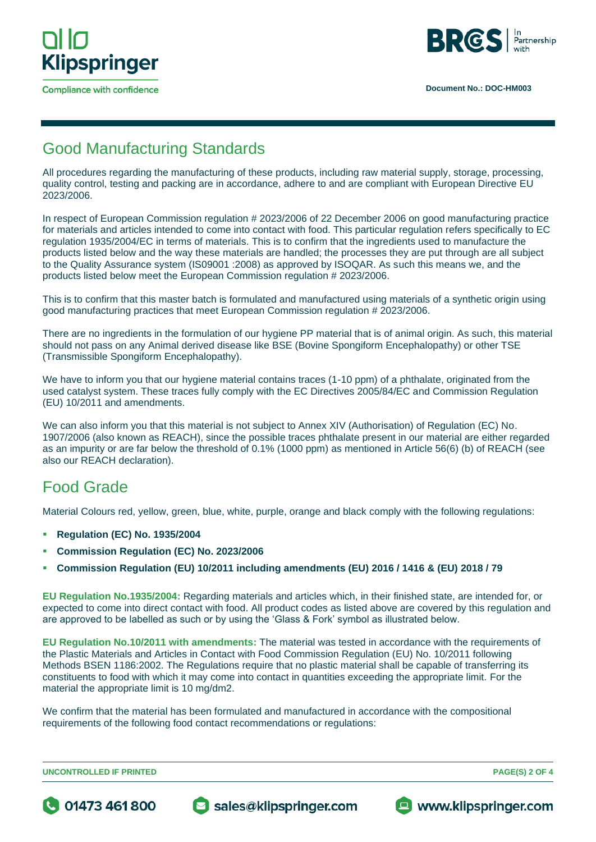

**Compliance with confidence** 



### Good Manufacturing Standards

All procedures regarding the manufacturing of these products, including raw material supply, storage, processing, quality control, testing and packing are in accordance, adhere to and are compliant with European Directive EU 2023/2006.

In respect of European Commission regulation # 2023/2006 of 22 December 2006 on good manufacturing practice for materials and articles intended to come into contact with food. This particular regulation refers specifically to EC regulation 1935/2004/EC in terms of materials. This is to confirm that the ingredients used to manufacture the products listed below and the way these materials are handled; the processes they are put through are all subject to the Quality Assurance system (IS09001 :2008) as approved by ISOQAR. As such this means we, and the products listed below meet the European Commission regulation # 2023/2006.

This is to confirm that this master batch is formulated and manufactured using materials of a synthetic origin using good manufacturing practices that meet European Commission regulation # 2023/2006.

There are no ingredients in the formulation of our hygiene PP material that is of animal origin. As such, this material should not pass on any Animal derived disease like BSE (Bovine Spongiform Encephalopathy) or other TSE (Transmissible Spongiform Encephalopathy).

We have to inform you that our hygiene material contains traces (1-10 ppm) of a phthalate, originated from the used catalyst system. These traces fully comply with the EC Directives 2005/84/EC and Commission Regulation (EU) 10/2011 and amendments.

We can also inform you that this material is not subject to Annex XIV (Authorisation) of Regulation (EC) No. 1907/2006 (also known as REACH), since the possible traces phthalate present in our material are either regarded as an impurity or are far below the threshold of 0.1% (1000 ppm) as mentioned in Article 56(6) (b) of REACH (see also our REACH declaration).

## Food Grade

Material Colours red, yellow, green, blue, white, purple, orange and black comply with the following regulations:

- **Regulation (EC) No. 1935/2004**
- **Commission Regulation (EC) No. 2023/2006**
- **Commission Regulation (EU) 10/2011 including amendments (EU) 2016 / 1416 & (EU) 2018 / 79**

**EU Regulation No.1935/2004:** Regarding materials and articles which, in their finished state, are intended for, or expected to come into direct contact with food. All product codes as listed above are covered by this regulation and are approved to be labelled as such or by using the 'Glass & Fork' symbol as illustrated below.

**EU Regulation No.10/2011 with amendments:** The material was tested in accordance with the requirements of the Plastic Materials and Articles in Contact with Food Commission Regulation (EU) No. 10/2011 following Methods BSEN 1186:2002. The Regulations require that no plastic material shall be capable of transferring its constituents to food with which it may come into contact in quantities exceeding the appropriate limit. For the material the appropriate limit is 10 mg/dm2.

We confirm that the material has been formulated and manufactured in accordance with the compositional requirements of the following food contact recommendations or regulations:

**UNCONTROLLED IF PRINTED PAGE(S) 2 OF 4**





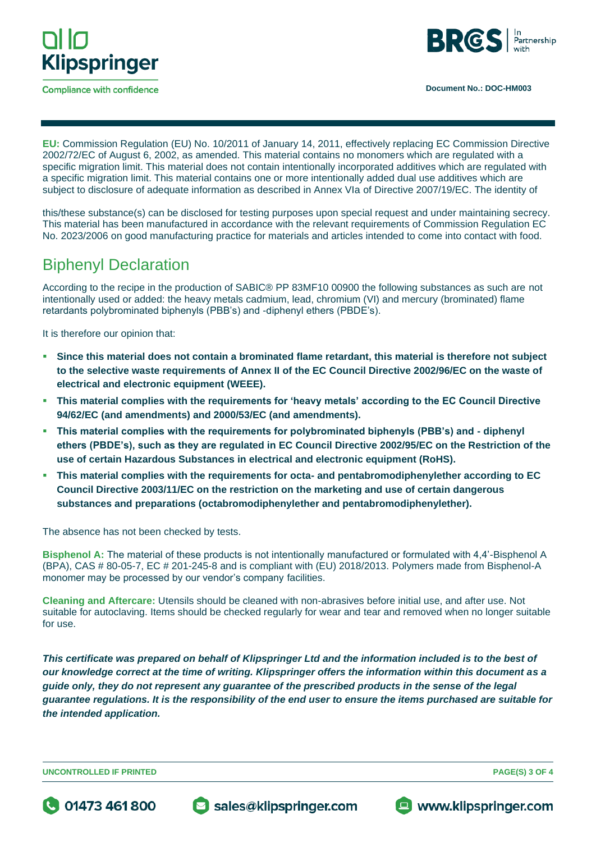

**Compliance with confidence** 



**EU:** Commission Regulation (EU) No. 10/2011 of January 14, 2011, effectively replacing EC Commission Directive 2002/72/EC of August 6, 2002, as amended. This material contains no monomers which are regulated with a specific migration limit. This material does not contain intentionally incorporated additives which are regulated with a specific migration limit. This material contains one or more intentionally added dual use additives which are subject to disclosure of adequate information as described in Annex VIa of Directive 2007/19/EC. The identity of

this/these substance(s) can be disclosed for testing purposes upon special request and under maintaining secrecy. This material has been manufactured in accordance with the relevant requirements of Commission Regulation EC No. 2023/2006 on good manufacturing practice for materials and articles intended to come into contact with food.

### Biphenyl Declaration

According to the recipe in the production of SABIC® PP 83MF10 00900 the following substances as such are not intentionally used or added: the heavy metals cadmium, lead, chromium (VI) and mercury (brominated) flame retardants polybrominated biphenyls (PBB's) and -diphenyl ethers (PBDE's).

It is therefore our opinion that:

- **Since this material does not contain a brominated flame retardant, this material is therefore not subject to the selective waste requirements of Annex II of the EC Council Directive 2002/96/EC on the waste of electrical and electronic equipment (WEEE).**
- **This material complies with the requirements for 'heavy metals' according to the EC Council Directive 94/62/EC (and amendments) and 2000/53/EC (and amendments).**
- **This material complies with the requirements for polybrominated biphenyls (PBB's) and - diphenyl ethers (PBDE's), such as they are regulated in EC Council Directive 2002/95/EC on the Restriction of the use of certain Hazardous Substances in electrical and electronic equipment (RoHS).**
- **This material complies with the requirements for octa- and pentabromodiphenylether according to EC Council Directive 2003/11/EC on the restriction on the marketing and use of certain dangerous substances and preparations (octabromodiphenylether and pentabromodiphenylether).**

The absence has not been checked by tests.

**Bisphenol A:** The material of these products is not intentionally manufactured or formulated with 4,4'-Bisphenol A (BPA), CAS # 80-05-7, EC # 201-245-8 and is compliant with (EU) 2018/2013. Polymers made from Bisphenol-A monomer may be processed by our vendor's company facilities.

**Cleaning and Aftercare:** Utensils should be cleaned with non-abrasives before initial use, and after use. Not suitable for autoclaving. Items should be checked regularly for wear and tear and removed when no longer suitable for use.

*This certificate was prepared on behalf of Klipspringer Ltd and the information included is to the best of our knowledge correct at the time of writing. Klipspringer offers the information within this document as a guide only, they do not represent any guarantee of the prescribed products in the sense of the legal guarantee regulations. It is the responsibility of the end user to ensure the items purchased are suitable for the intended application.* 

**UNCONTROLLED IF PRINTED PAGE(S) 3 OF 4**